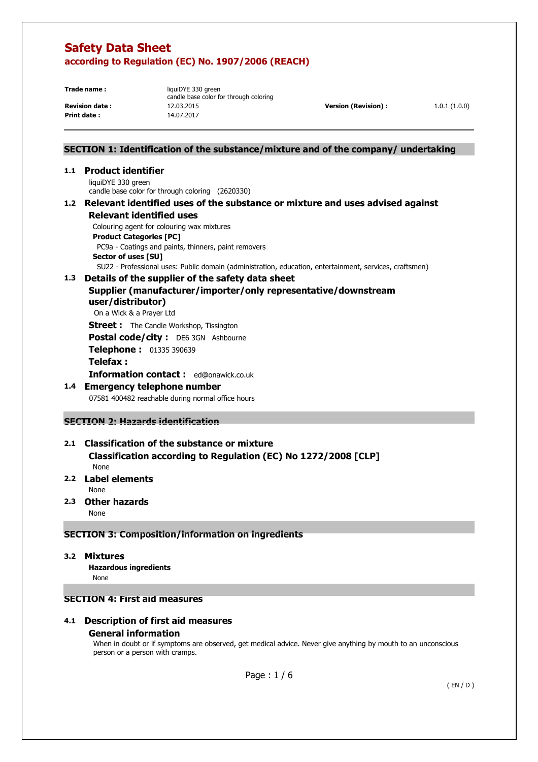**Print date :** 14.07.2017

**Trade name:** liquiDYE 330 green candle base color for through coloring **Revision date :** 12.03.2015 **Version (Revision) :** 1.0.1 (1.0.0)

# **SECTION 1: Identification of the substance/mixture and of the company/ undertaking**

# **1.1 Product identifier**

liquiDYE 330 green candle base color for through coloring (2620330)

### **1.2 Relevant identified uses of the substance or mixture and uses advised against Relevant identified uses**

Colouring agent for colouring wax mixtures

**Product Categories [PC]** 

 PC9a - Coatings and paints, thinners, paint removers **Sector of uses [SU]** 

SU22 - Professional uses: Public domain (administration, education, entertainment, services, craftsmen)

## **1.3 Details of the supplier of the safety data sheet**

# **Supplier (manufacturer/importer/only representative/downstream user/distributor)**

On a Wick & a Prayer Ltd

**Street :** The Candle Workshop, Tissington

**Postal code/city :** DE6 3GN Ashbourne

**Telephone :** 01335 390639

# **Telefax :**

**Information contact :** ed@onawick.co.uk

# **1.4 Emergency telephone number**

07581 400482 reachable during normal office hours

# **SECTION 2: Hazards identification**

# **2.1 Classification of the substance or mixture Classification according to Regulation (EC) No 1272/2008 [CLP]**

None

# **2.2 Label elements**

None

**2.3 Other hazards** 

None

# **SECTION 3: Composition/information on ingredients**

**3.2 Mixtures** 

 **Hazardous ingredients** None

# **SECTION 4: First aid measures**

# **4.1 Description of first aid measures General information**

When in doubt or if symptoms are observed, get medical advice. Never give anything by mouth to an unconscious person or a person with cramps.

Page : 1 / 6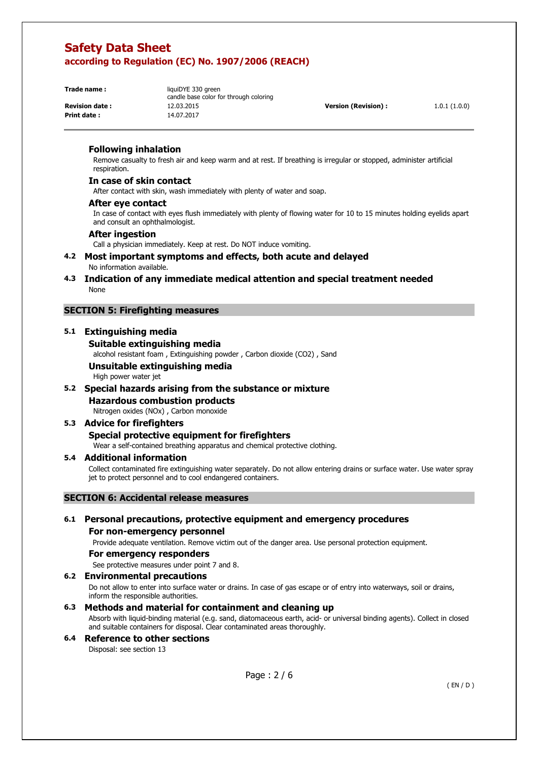**Print date :** 14.07.2017

**Trade name:** liquiDYE 330 green candle base color for through coloring **Revision date :** 12.03.2015 **Version (Revision) :** 1.0.1 (1.0.0)

# **Following inhalation**

Remove casualty to fresh air and keep warm and at rest. If breathing is irregular or stopped, administer artificial respiration.

# **In case of skin contact**

After contact with skin, wash immediately with plenty of water and soap.

### **After eye contact**

In case of contact with eyes flush immediately with plenty of flowing water for 10 to 15 minutes holding eyelids apart and consult an ophthalmologist.

### **After ingestion**

Call a physician immediately. Keep at rest. Do NOT induce vomiting.

### **4.2 Most important symptoms and effects, both acute and delayed**  No information available.

**4.3 Indication of any immediate medical attention and special treatment needed**  None

### **SECTION 5: Firefighting measures**

# **5.1 Extinguishing media**

### **Suitable extinguishing media**

alcohol resistant foam , Extinguishing powder , Carbon dioxide (CO2) , Sand

# **Unsuitable extinguishing media**

High power water jet

### **5.2 Special hazards arising from the substance or mixture**

# **Hazardous combustion products**

Nitrogen oxides (NOx) , Carbon monoxide

### **5.3 Advice for firefighters Special protective equipment for firefighters**

Wear a self-contained breathing apparatus and chemical protective clothing.

### **5.4 Additional information**

Collect contaminated fire extinguishing water separately. Do not allow entering drains or surface water. Use water spray jet to protect personnel and to cool endangered containers.

# **SECTION 6: Accidental release measures**

# **6.1 Personal precautions, protective equipment and emergency procedures For non-emergency personnel**

Provide adequate ventilation. Remove victim out of the danger area. Use personal protection equipment.

### **For emergency responders**

See protective measures under point 7 and 8.

# **6.2 Environmental precautions**

Do not allow to enter into surface water or drains. In case of gas escape or of entry into waterways, soil or drains, inform the responsible authorities.

### **6.3 Methods and material for containment and cleaning up**

Absorb with liquid-binding material (e.g. sand, diatomaceous earth, acid- or universal binding agents). Collect in closed and suitable containers for disposal. Clear contaminated areas thoroughly.

### **6.4 Reference to other sections**  Disposal: see section 13

Page : 2 / 6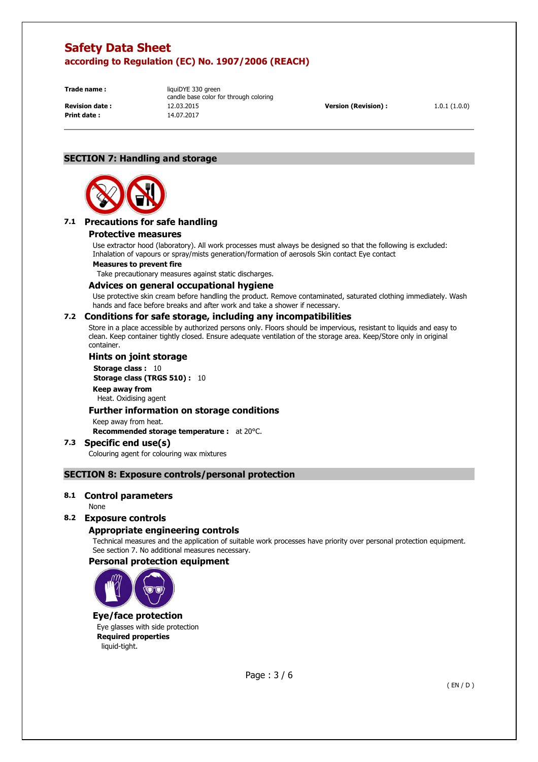**Print date :** 14.07.2017

**Trade name:** liquiDYE 330 green candle base color for through coloring **Revision date :** 12.03.2015 **Version (Revision) :** 1.0.1 (1.0.0)

# **SECTION 7: Handling and storage**



# **7.1 Precautions for safe handling**

### **Protective measures**

Use extractor hood (laboratory). All work processes must always be designed so that the following is excluded: Inhalation of vapours or spray/mists generation/formation of aerosols Skin contact Eye contact

### **Measures to prevent fire**

Take precautionary measures against static discharges.

### **Advices on general occupational hygiene**

Use protective skin cream before handling the product. Remove contaminated, saturated clothing immediately. Wash hands and face before breaks and after work and take a shower if necessary.

### **7.2 Conditions for safe storage, including any incompatibilities**

Store in a place accessible by authorized persons only. Floors should be impervious, resistant to liquids and easy to clean. Keep container tightly closed. Ensure adequate ventilation of the storage area. Keep/Store only in original container.

### **Hints on joint storage**

**Storage class : 10 Storage class (TRGS 510) :** 10 **Keep away from**  Heat. Oxidising agent

### **Further information on storage conditions**

Keep away from heat.

**Recommended storage temperature :** at 20°C.

### **7.3 Specific end use(s)**  Colouring agent for colouring wax mixtures

**SECTION 8: Exposure controls/personal protection** 

# **8.1 Control parameters**

None

# **8.2 Exposure controls**

### **Appropriate engineering controls**

Technical measures and the application of suitable work processes have priority over personal protection equipment. See section 7. No additional measures necessary.

### **Personal protection equipment**



### **Eye/face protection**

Eye glasses with side protection **Required properties**  liquid-tight.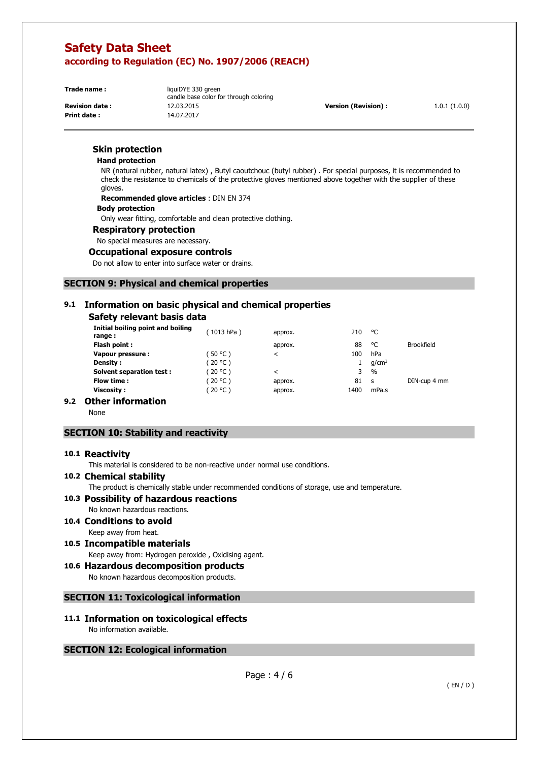**Print date :** 14.07.2017

**Trade name:** liquiDYE 330 green candle base color for through coloring **Revision date :** 12.03.2015 **Version (Revision) :** 1.0.1 (1.0.0)

## **Skin protection**

### **Hand protection**

NR (natural rubber, natural latex) , Butyl caoutchouc (butyl rubber) . For special purposes, it is recommended to check the resistance to chemicals of the protective gloves mentioned above together with the supplier of these gloves.

**Recommended glove articles** : DIN EN 374

#### **Body protection**

Only wear fitting, comfortable and clean protective clothing.

### **Respiratory protection**

No special measures are necessary.

### **Occupational exposure controls**

Do not allow to enter into surface water or drains.

### **SECTION 9: Physical and chemical properties**

## **9.1 Information on basic physical and chemical properties**

# **Safety relevant basis data**

| Initial boiling point and boiling<br>range: | $1013$ hPa) | approx. | 210  | ۰c                |                   |
|---------------------------------------------|-------------|---------|------|-------------------|-------------------|
| Flash point:                                |             | approx. | 88   | °C                | <b>Brookfield</b> |
| Vapour pressure :                           | $50 °C$ )   | <       | 100  | hPa               |                   |
| <b>Density:</b>                             | (20 °C)     |         |      | q/cm <sup>3</sup> |                   |
| <b>Solvent separation test:</b>             | $20 °C$ )   | ≺       | 3    | $\frac{0}{0}$     |                   |
| Flow time:                                  | $20 °C$ )   | approx. | 81   | <b>S</b>          | DIN-cup 4 mm      |
| Viscosity :                                 | (20 °C )    | approx. | 1400 | mPa.s             |                   |
| .                                           |             |         |      |                   |                   |

# **9.2 Other information**

None

# **SECTION 10: Stability and reactivity**

### **10.1 Reactivity**

This material is considered to be non-reactive under normal use conditions.

### **10.2 Chemical stability**

The product is chemically stable under recommended conditions of storage, use and temperature.

# **10.3 Possibility of hazardous reactions**

No known hazardous reactions.

- **10.4 Conditions to avoid**  Keep away from heat.
- **10.5 Incompatible materials**  Keep away from: Hydrogen peroxide , Oxidising agent.

# **10.6 Hazardous decomposition products**

No known hazardous decomposition products.

### **SECTION 11: Toxicological information**

### **11.1 Information on toxicological effects**  No information available.

### **SECTION 12: Ecological information**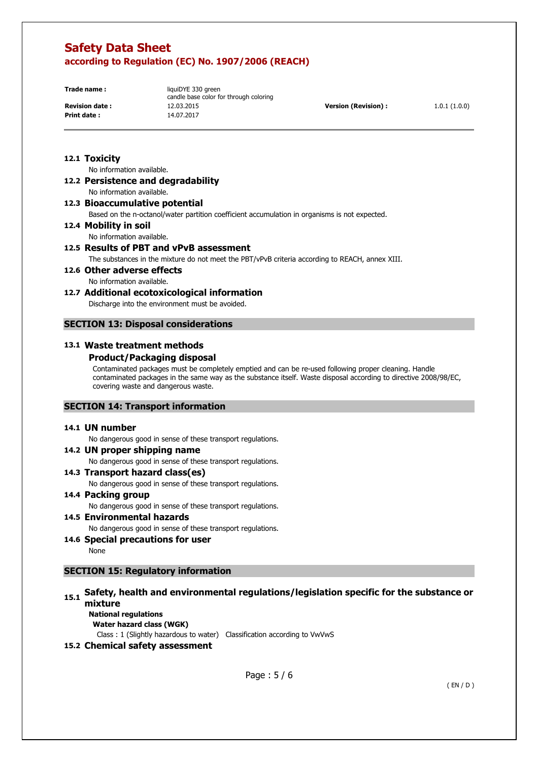**Print date :** 14.07.2017

**Trade name:** liquiDYE 330 green candle base color for through coloring **Revision date :** 12.03.2015 **Version (Revision) :** 1.0.1 (1.0.0)

## **12.1 Toxicity**

No information available.

**12.2 Persistence and degradability**  No information available.

**12.3 Bioaccumulative potential** 

Based on the n-octanol/water partition coefficient accumulation in organisms is not expected.

**12.4 Mobility in soil** 

No information available.

# **12.5 Results of PBT and vPvB assessment**

The substances in the mixture do not meet the PBT/vPvB criteria according to REACH, annex XIII.

**12.6 Other adverse effects**  No information available.

# **12.7 Additional ecotoxicological information**

Discharge into the environment must be avoided.

# **SECTION 13: Disposal considerations**

## **13.1 Waste treatment methods**

## **Product/Packaging disposal**

Contaminated packages must be completely emptied and can be re-used following proper cleaning. Handle contaminated packages in the same way as the substance itself. Waste disposal according to directive 2008/98/EC, covering waste and dangerous waste.

# **SECTION 14: Transport information**

### **14.1 UN number**

No dangerous good in sense of these transport regulations.

# **14.2 UN proper shipping name**

No dangerous good in sense of these transport regulations.

### **14.3 Transport hazard class(es)**

No dangerous good in sense of these transport regulations.

### **14.4 Packing group**

No dangerous good in sense of these transport regulations.

- **14.5 Environmental hazards**  No dangerous good in sense of these transport regulations.
- **14.6 Special precautions for user**

None

# **SECTION 15: Regulatory information**

# **15.1 Safety, health and environmental regulations/legislation specific for the substance or mixture**

**National regulations Water hazard class (WGK)** 

Class : 1 (Slightly hazardous to water) Classification according to VwVwS

# **15.2 Chemical safety assessment**